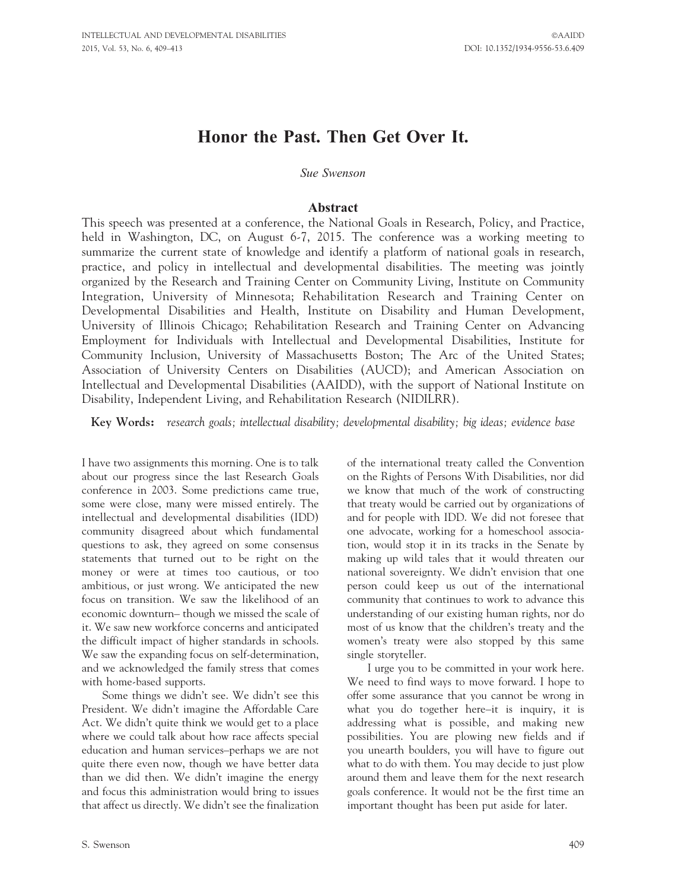## Honor the Past. Then Get Over It.

## Sue Swenson

## Abstract

This speech was presented at a conference, the National Goals in Research, Policy, and Practice, held in Washington, DC, on August 6-7, 2015. The conference was a working meeting to summarize the current state of knowledge and identify a platform of national goals in research, practice, and policy in intellectual and developmental disabilities. The meeting was jointly organized by the Research and Training Center on Community Living, Institute on Community Integration, University of Minnesota; Rehabilitation Research and Training Center on Developmental Disabilities and Health, Institute on Disability and Human Development, University of Illinois Chicago; Rehabilitation Research and Training Center on Advancing Employment for Individuals with Intellectual and Developmental Disabilities, Institute for Community Inclusion, University of Massachusetts Boston; The Arc of the United States; Association of University Centers on Disabilities (AUCD); and American Association on Intellectual and Developmental Disabilities (AAIDD), with the support of National Institute on Disability, Independent Living, and Rehabilitation Research (NIDILRR).

Key Words: research goals; intellectual disability; developmental disability; big ideas; evidence base

I have two assignments this morning. One is to talk about our progress since the last Research Goals conference in 2003. Some predictions came true, some were close, many were missed entirely. The intellectual and developmental disabilities (IDD) community disagreed about which fundamental questions to ask, they agreed on some consensus statements that turned out to be right on the money or were at times too cautious, or too ambitious, or just wrong. We anticipated the new focus on transition. We saw the likelihood of an economic downturn– though we missed the scale of it. We saw new workforce concerns and anticipated the difficult impact of higher standards in schools. We saw the expanding focus on self-determination, and we acknowledged the family stress that comes with home-based supports.

Some things we didn't see. We didn't see this President. We didn't imagine the Affordable Care Act. We didn't quite think we would get to a place where we could talk about how race affects special education and human services–perhaps we are not quite there even now, though we have better data than we did then. We didn't imagine the energy and focus this administration would bring to issues that affect us directly. We didn't see the finalization of the international treaty called the Convention on the Rights of Persons With Disabilities, nor did we know that much of the work of constructing that treaty would be carried out by organizations of and for people with IDD. We did not foresee that one advocate, working for a homeschool association, would stop it in its tracks in the Senate by making up wild tales that it would threaten our national sovereignty. We didn't envision that one person could keep us out of the international community that continues to work to advance this understanding of our existing human rights, nor do most of us know that the children's treaty and the women's treaty were also stopped by this same single storyteller.

I urge you to be committed in your work here. We need to find ways to move forward. I hope to offer some assurance that you cannot be wrong in what you do together here–it is inquiry, it is addressing what is possible, and making new possibilities. You are plowing new fields and if you unearth boulders, you will have to figure out what to do with them. You may decide to just plow around them and leave them for the next research goals conference. It would not be the first time an important thought has been put aside for later.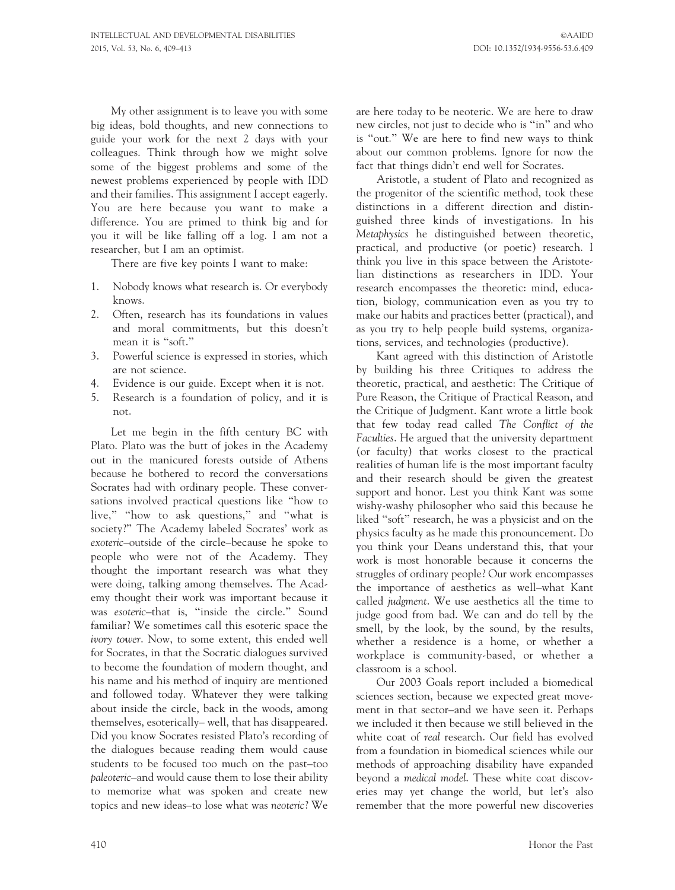My other assignment is to leave you with some big ideas, bold thoughts, and new connections to guide your work for the next 2 days with your colleagues. Think through how we might solve some of the biggest problems and some of the newest problems experienced by people with IDD and their families. This assignment I accept eagerly. You are here because you want to make a difference. You are primed to think big and for you it will be like falling off a log. I am not a researcher, but I am an optimist.

There are five key points I want to make:

- 1. Nobody knows what research is. Or everybody knows.
- 2. Often, research has its foundations in values and moral commitments, but this doesn't mean it is "soft."
- 3. Powerful science is expressed in stories, which are not science.
- 4. Evidence is our guide. Except when it is not.
- 5. Research is a foundation of policy, and it is not.

Let me begin in the fifth century BC with Plato. Plato was the butt of jokes in the Academy out in the manicured forests outside of Athens because he bothered to record the conversations Socrates had with ordinary people. These conversations involved practical questions like ''how to live," "how to ask questions," and "what is society?'' The Academy labeled Socrates' work as exoteric–outside of the circle–because he spoke to people who were not of the Academy. They thought the important research was what they were doing, talking among themselves. The Academy thought their work was important because it was esoteric–that is, ''inside the circle.'' Sound familiar? We sometimes call this esoteric space the ivory tower. Now, to some extent, this ended well for Socrates, in that the Socratic dialogues survived to become the foundation of modern thought, and his name and his method of inquiry are mentioned and followed today. Whatever they were talking about inside the circle, back in the woods, among themselves, esoterically– well, that has disappeared. Did you know Socrates resisted Plato's recording of the dialogues because reading them would cause students to be focused too much on the past–too paleoteric–and would cause them to lose their ability to memorize what was spoken and create new topics and new ideas–to lose what was neoteric? We are here today to be neoteric. We are here to draw new circles, not just to decide who is ''in'' and who is ''out.'' We are here to find new ways to think about our common problems. Ignore for now the fact that things didn't end well for Socrates.

Aristotle, a student of Plato and recognized as the progenitor of the scientific method, took these distinctions in a different direction and distinguished three kinds of investigations. In his Metaphysics he distinguished between theoretic, practical, and productive (or poetic) research. I think you live in this space between the Aristotelian distinctions as researchers in IDD. Your research encompasses the theoretic: mind, education, biology, communication even as you try to make our habits and practices better (practical), and as you try to help people build systems, organizations, services, and technologies (productive).

Kant agreed with this distinction of Aristotle by building his three Critiques to address the theoretic, practical, and aesthetic: The Critique of Pure Reason, the Critique of Practical Reason, and the Critique of Judgment. Kant wrote a little book that few today read called The Conflict of the Faculties. He argued that the university department (or faculty) that works closest to the practical realities of human life is the most important faculty and their research should be given the greatest support and honor. Lest you think Kant was some wishy-washy philosopher who said this because he liked ''soft'' research, he was a physicist and on the physics faculty as he made this pronouncement. Do you think your Deans understand this, that your work is most honorable because it concerns the struggles of ordinary people? Our work encompasses the importance of aesthetics as well–what Kant called judgment. We use aesthetics all the time to judge good from bad. We can and do tell by the smell, by the look, by the sound, by the results, whether a residence is a home, or whether a workplace is community-based, or whether a classroom is a school.

Our 2003 Goals report included a biomedical sciences section, because we expected great movement in that sector–and we have seen it. Perhaps we included it then because we still believed in the white coat of real research. Our field has evolved from a foundation in biomedical sciences while our methods of approaching disability have expanded beyond a medical model. These white coat discoveries may yet change the world, but let's also remember that the more powerful new discoveries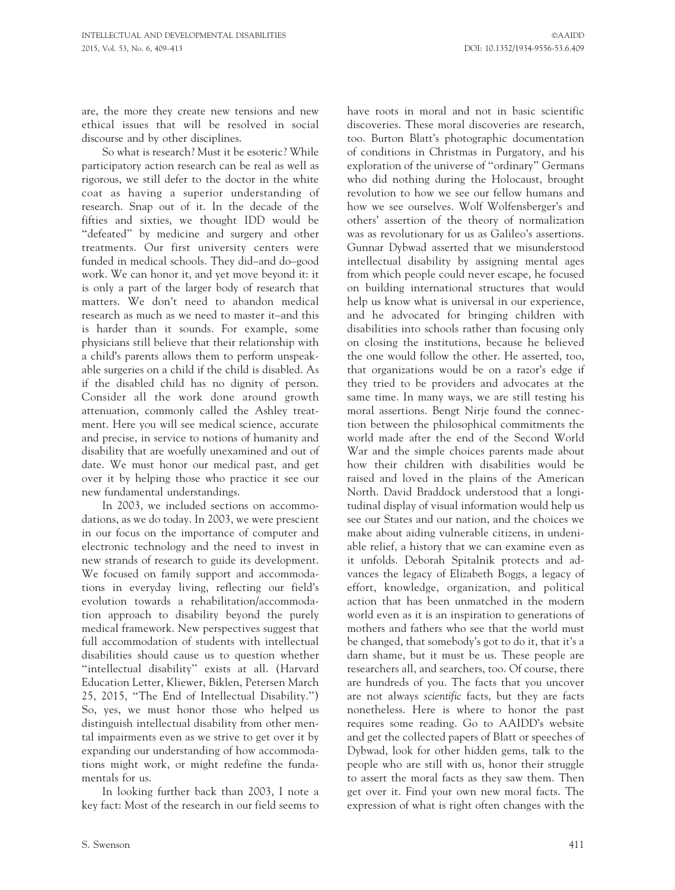are, the more they create new tensions and new ethical issues that will be resolved in social discourse and by other disciplines.

So what is research? Must it be esoteric? While participatory action research can be real as well as rigorous, we still defer to the doctor in the white coat as having a superior understanding of research. Snap out of it. In the decade of the fifties and sixties, we thought IDD would be ''defeated'' by medicine and surgery and other treatments. Our first university centers were funded in medical schools. They did–and do–good work. We can honor it, and yet move beyond it: it is only a part of the larger body of research that matters. We don't need to abandon medical research as much as we need to master it–and this is harder than it sounds. For example, some physicians still believe that their relationship with a child's parents allows them to perform unspeakable surgeries on a child if the child is disabled. As if the disabled child has no dignity of person. Consider all the work done around growth attenuation, commonly called the Ashley treatment. Here you will see medical science, accurate and precise, in service to notions of humanity and disability that are woefully unexamined and out of date. We must honor our medical past, and get over it by helping those who practice it see our new fundamental understandings.

In 2003, we included sections on accommodations, as we do today. In 2003, we were prescient in our focus on the importance of computer and electronic technology and the need to invest in new strands of research to guide its development. We focused on family support and accommodations in everyday living, reflecting our field's evolution towards a rehabilitation/accommodation approach to disability beyond the purely medical framework. New perspectives suggest that full accommodation of students with intellectual disabilities should cause us to question whether "intellectual disability" exists at all. (Harvard Education Letter, Kliewer, Biklen, Petersen March 25, 2015, ''The End of Intellectual Disability.'') So, yes, we must honor those who helped us distinguish intellectual disability from other mental impairments even as we strive to get over it by expanding our understanding of how accommodations might work, or might redefine the fundamentals for us.

In looking further back than 2003, I note a key fact: Most of the research in our field seems to have roots in moral and not in basic scientific discoveries. These moral discoveries are research, too. Burton Blatt's photographic documentation of conditions in Christmas in Purgatory, and his exploration of the universe of ''ordinary'' Germans who did nothing during the Holocaust, brought revolution to how we see our fellow humans and how we see ourselves. Wolf Wolfensberger's and others' assertion of the theory of normalization was as revolutionary for us as Galileo's assertions. Gunnar Dybwad asserted that we misunderstood intellectual disability by assigning mental ages from which people could never escape, he focused on building international structures that would help us know what is universal in our experience, and he advocated for bringing children with disabilities into schools rather than focusing only on closing the institutions, because he believed the one would follow the other. He asserted, too, that organizations would be on a razor's edge if they tried to be providers and advocates at the same time. In many ways, we are still testing his moral assertions. Bengt Nirje found the connection between the philosophical commitments the world made after the end of the Second World War and the simple choices parents made about how their children with disabilities would be raised and loved in the plains of the American North. David Braddock understood that a longitudinal display of visual information would help us see our States and our nation, and the choices we make about aiding vulnerable citizens, in undeniable relief, a history that we can examine even as it unfolds. Deborah Spitalnik protects and advances the legacy of Elizabeth Boggs, a legacy of effort, knowledge, organization, and political action that has been unmatched in the modern world even as it is an inspiration to generations of mothers and fathers who see that the world must be changed, that somebody's got to do it, that it's a darn shame, but it must be us. These people are researchers all, and searchers, too. Of course, there are hundreds of you. The facts that you uncover are not always scientific facts, but they are facts nonetheless. Here is where to honor the past requires some reading. Go to AAIDD's website and get the collected papers of Blatt or speeches of Dybwad, look for other hidden gems, talk to the people who are still with us, honor their struggle to assert the moral facts as they saw them. Then get over it. Find your own new moral facts. The expression of what is right often changes with the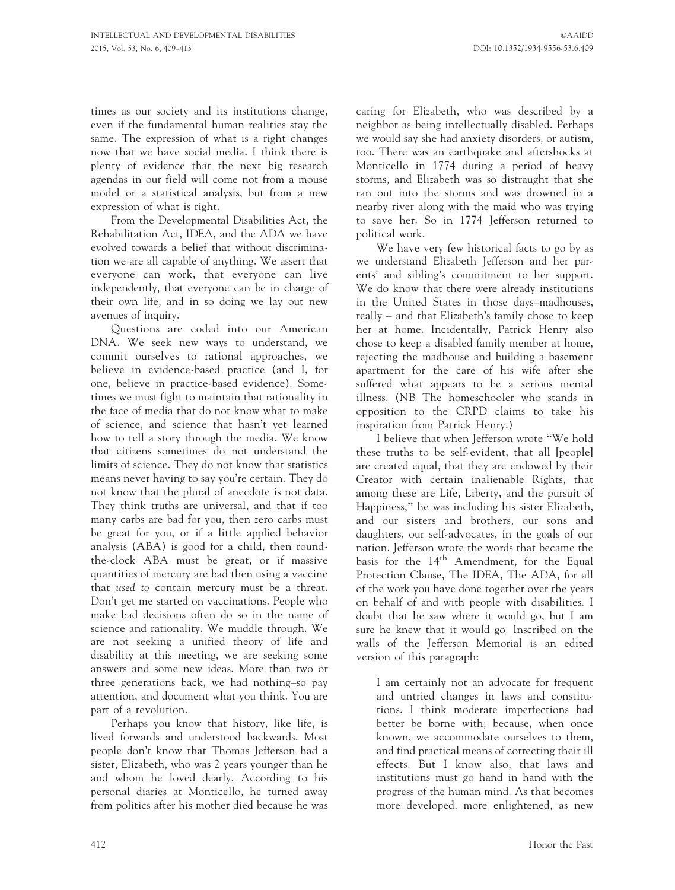times as our society and its institutions change, even if the fundamental human realities stay the same. The expression of what is a right changes now that we have social media. I think there is plenty of evidence that the next big research agendas in our field will come not from a mouse model or a statistical analysis, but from a new expression of what is right.

From the Developmental Disabilities Act, the Rehabilitation Act, IDEA, and the ADA we have evolved towards a belief that without discrimination we are all capable of anything. We assert that everyone can work, that everyone can live independently, that everyone can be in charge of their own life, and in so doing we lay out new avenues of inquiry.

Questions are coded into our American DNA. We seek new ways to understand, we commit ourselves to rational approaches, we believe in evidence-based practice (and I, for one, believe in practice-based evidence). Sometimes we must fight to maintain that rationality in the face of media that do not know what to make of science, and science that hasn't yet learned how to tell a story through the media. We know that citizens sometimes do not understand the limits of science. They do not know that statistics means never having to say you're certain. They do not know that the plural of anecdote is not data. They think truths are universal, and that if too many carbs are bad for you, then zero carbs must be great for you, or if a little applied behavior analysis (ABA) is good for a child, then roundthe-clock ABA must be great, or if massive quantities of mercury are bad then using a vaccine that used to contain mercury must be a threat. Don't get me started on vaccinations. People who make bad decisions often do so in the name of science and rationality. We muddle through. We are not seeking a unified theory of life and disability at this meeting, we are seeking some answers and some new ideas. More than two or three generations back, we had nothing–so pay attention, and document what you think. You are part of a revolution.

Perhaps you know that history, like life, is lived forwards and understood backwards. Most people don't know that Thomas Jefferson had a sister, Elizabeth, who was 2 years younger than he and whom he loved dearly. According to his personal diaries at Monticello, he turned away from politics after his mother died because he was caring for Elizabeth, who was described by a neighbor as being intellectually disabled. Perhaps we would say she had anxiety disorders, or autism, too. There was an earthquake and aftershocks at Monticello in 1774 during a period of heavy storms, and Elizabeth was so distraught that she ran out into the storms and was drowned in a nearby river along with the maid who was trying to save her. So in 1774 Jefferson returned to political work.

We have very few historical facts to go by as we understand Elizabeth Jefferson and her parents' and sibling's commitment to her support. We do know that there were already institutions in the United States in those days–madhouses, really – and that Elizabeth's family chose to keep her at home. Incidentally, Patrick Henry also chose to keep a disabled family member at home, rejecting the madhouse and building a basement apartment for the care of his wife after she suffered what appears to be a serious mental illness. (NB The homeschooler who stands in opposition to the CRPD claims to take his inspiration from Patrick Henry.)

I believe that when Jefferson wrote ''We hold these truths to be self-evident, that all [people] are created equal, that they are endowed by their Creator with certain inalienable Rights, that among these are Life, Liberty, and the pursuit of Happiness,'' he was including his sister Elizabeth, and our sisters and brothers, our sons and daughters, our self-advocates, in the goals of our nation. Jefferson wrote the words that became the basis for the  $14<sup>th</sup>$  Amendment, for the Equal Protection Clause, The IDEA, The ADA, for all of the work you have done together over the years on behalf of and with people with disabilities. I doubt that he saw where it would go, but I am sure he knew that it would go. Inscribed on the walls of the Jefferson Memorial is an edited version of this paragraph:

I am certainly not an advocate for frequent and untried changes in laws and constitutions. I think moderate imperfections had better be borne with; because, when once known, we accommodate ourselves to them, and find practical means of correcting their ill effects. But I know also, that laws and institutions must go hand in hand with the progress of the human mind. As that becomes more developed, more enlightened, as new